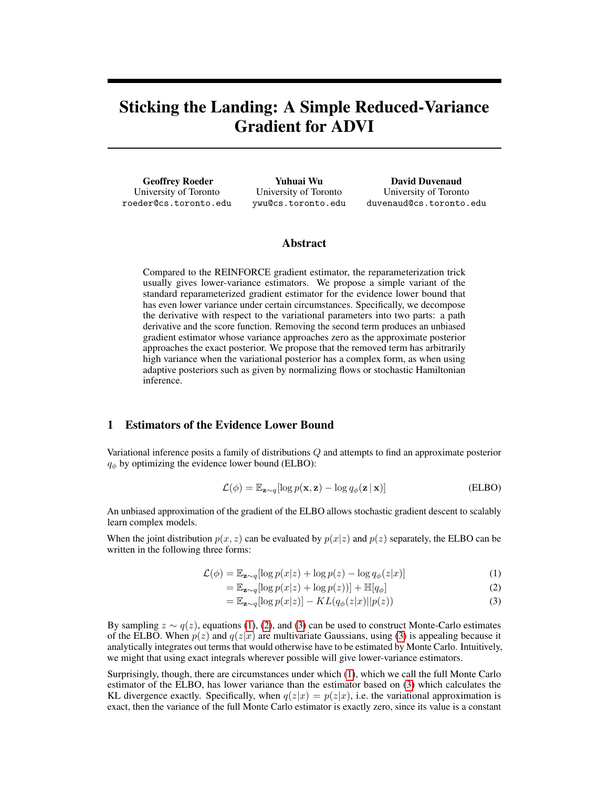# Sticking the Landing: A Simple Reduced-Variance Gradient for ADVI

Geoffrey Roeder University of Toronto roeder@cs.toronto.edu

Yuhuai Wu University of Toronto ywu@cs.toronto.edu

David Duvenaud University of Toronto duvenaud@cs.toronto.edu

# Abstract

Compared to the REINFORCE gradient estimator, the reparameterization trick usually gives lower-variance estimators. We propose a simple variant of the standard reparameterized gradient estimator for the evidence lower bound that has even lower variance under certain circumstances. Specifically, we decompose the derivative with respect to the variational parameters into two parts: a path derivative and the score function. Removing the second term produces an unbiased gradient estimator whose variance approaches zero as the approximate posterior approaches the exact posterior. We propose that the removed term has arbitrarily high variance when the variational posterior has a complex form, as when using adaptive posteriors such as given by normalizing flows or stochastic Hamiltonian inference.

## 1 Estimators of the Evidence Lower Bound

Variational inference posits a family of distributions Q and attempts to find an approximate posterior  $q_{\phi}$  by optimizing the evidence lower bound (ELBO):

$$
\mathcal{L}(\phi) = \mathbb{E}_{\mathbf{z} \sim q} [\log p(\mathbf{x}, \mathbf{z}) - \log q_{\phi}(\mathbf{z} \,|\, \mathbf{x})] \tag{ELBO}
$$

An unbiased approximation of the gradient of the ELBO allows stochastic gradient descent to scalably learn complex models.

When the joint distribution  $p(x, z)$  can be evaluated by  $p(x|z)$  and  $p(z)$  separately, the ELBO can be written in the following three forms:

$$
\mathcal{L}(\phi) = \mathbb{E}_{\mathbf{z} \sim q} [\log p(x|z) + \log p(z) - \log q_{\phi}(z|x)] \tag{1}
$$

$$
= \mathbb{E}_{\mathbf{z} \sim q} [\log p(x|z) + \log p(z))] + \mathbb{H}[q_{\phi}] \tag{2}
$$

<span id="page-0-2"></span><span id="page-0-1"></span><span id="page-0-0"></span>
$$
= \mathbb{E}_{\mathbf{z} \sim q}[\log p(x|z)] - KL(q_{\phi}(z|x)||p(z)) \tag{3}
$$

By sampling  $z \sim q(z)$ , equations [\(1\)](#page-0-0), [\(2\)](#page-0-1), and [\(3\)](#page-0-2) can be used to construct Monte-Carlo estimates of the ELBO. When  $p(z)$  and  $q(z|x)$  are multivariate Gaussians, using [\(3\)](#page-0-2) is appealing because it analytically integrates out terms that would otherwise have to be estimated by Monte Carlo. Intuitively, we might that using exact integrals wherever possible will give lower-variance estimators.

Surprisingly, though, there are circumstances under which [\(1\)](#page-0-0), which we call the full Monte Carlo estimator of the ELBO, has lower variance than the estimator based on [\(3\)](#page-0-2) which calculates the KL divergence exactly. Specifically, when  $q(z|x) = p(z|x)$ , i.e. the variational approximation is exact, then the variance of the full Monte Carlo estimator is exactly zero, since its value is a constant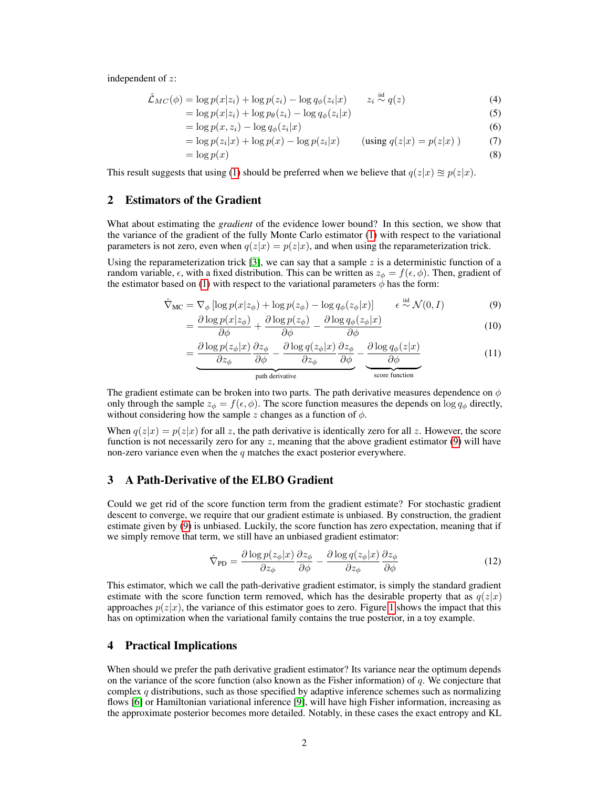independent of z:

$$
\hat{\mathcal{L}}_{MC}(\phi) = \log p(x|z_i) + \log p(z_i) - \log q_{\phi}(z_i|x) \qquad z_i \stackrel{\text{iid}}{\sim} q(z) \tag{4}
$$

$$
= \log p(x|z_i) + \log p_{\theta}(z_i) - \log q_{\phi}(z_i|x)
$$
\n(5)

$$
= \log p(x, z_i) - \log q_{\phi}(z_i|x)
$$
\n(6)

$$
= \log p(z_i|x) + \log p(x) - \log p(z_i|x) \qquad \text{(using } q(z|x) = p(z|x) \text{ )}
$$
 (7)

$$
= \log p(x) \tag{8}
$$

This result suggests that using [\(1\)](#page-0-0) should be preferred when we believe that  $q(z|x) \approx p(z|x)$ .

## 2 Estimators of the Gradient

What about estimating the *gradient* of the evidence lower bound? In this section, we show that the variance of the gradient of the fully Monte Carlo estimator [\(1\)](#page-0-0) with respect to the variational parameters is not zero, even when  $q(z|x) = p(z|x)$ , and when using the reparameterization trick.

Using the reparameterization trick [\[3\]](#page-4-0), we can say that a sample  $z$  is a deterministic function of a random variable,  $\epsilon$ , with a fixed distribution. This can be written as  $z_{\phi} = f(\epsilon, \phi)$ . Then, gradient of the estimator based on [\(1\)](#page-0-0) with respect to the variational parameters  $\phi$  has the form:

$$
\hat{\nabla}_{MC} = \nabla_{\phi} \left[ \log p(x|z_{\phi}) + \log p(z_{\phi}) - \log q_{\phi}(z_{\phi}|x) \right] \qquad \epsilon \stackrel{\text{iid}}{\sim} \mathcal{N}(0, I) \tag{9}
$$

$$
= \frac{\partial \log p(x|z_{\phi})}{\partial \phi} + \frac{\partial \log p(z_{\phi})}{\partial \phi} - \frac{\partial \log q_{\phi}(z_{\phi}|x)}{\partial \phi} \tag{10}
$$

<span id="page-1-0"></span>
$$
= \underbrace{\frac{\partial \log p(z_{\phi}|x)}{\partial z_{\phi}} \frac{\partial z_{\phi}}{\partial \phi} - \frac{\partial \log q(z_{\phi}|x)}{\partial z_{\phi}} \frac{\partial z_{\phi}}{\partial \phi}}_{\text{path derivative}} - \underbrace{\frac{\partial \log q_{\phi}(z|x)}{\partial \phi}}_{\text{score function}}
$$
(11)

The gradient estimate can be broken into two parts. The path derivative measures dependence on  $\phi$ only through the sample  $z_{\phi} = f(\epsilon, \phi)$ . The score function measures the depends on log  $q_{\phi}$  directly, without considering how the sample z changes as a function of  $\phi$ .

When  $q(z|x) = p(z|x)$  for all z, the path derivative is identically zero for all z. However, the score function is not necessarily zero for any  $z$ , meaning that the above gradient estimator  $(9)$  will have non-zero variance even when the  $q$  matches the exact posterior everywhere.

## 3 A Path-Derivative of the ELBO Gradient

Could we get rid of the score function term from the gradient estimate? For stochastic gradient descent to converge, we require that our gradient estimate is unbiased. By construction, the gradient estimate given by [\(9\)](#page-1-0) is unbiased. Luckily, the score function has zero expectation, meaning that if we simply remove that term, we still have an unbiased gradient estimator:

$$
\hat{\nabla}_{\text{PD}} = \frac{\partial \log p(z_{\phi}|x)}{\partial z_{\phi}} \frac{\partial z_{\phi}}{\partial \phi} - \frac{\partial \log q(z_{\phi}|x)}{\partial z_{\phi}} \frac{\partial z_{\phi}}{\partial \phi} \tag{12}
$$

This estimator, which we call the path-derivative gradient estimator, is simply the standard gradient estimate with the score function term removed, which has the desirable property that as  $q(z|x)$ approaches  $p(z|x)$ , the variance of this estimator goes to zero. Figure [1](#page-2-0) shows the impact that this has on optimization when the variational family contains the true posterior, in a toy example.

#### 4 Practical Implications

When should we prefer the path derivative gradient estimator? Its variance near the optimum depends on the variance of the score function (also known as the Fisher information) of  $q$ . We conjecture that complex  $q$  distributions, such as those specified by adaptive inference schemes such as normalizing flows [\[6\]](#page-4-1) or Hamiltonian variational inference [\[9\]](#page-4-2), will have high Fisher information, increasing as the approximate posterior becomes more detailed. Notably, in these cases the exact entropy and KL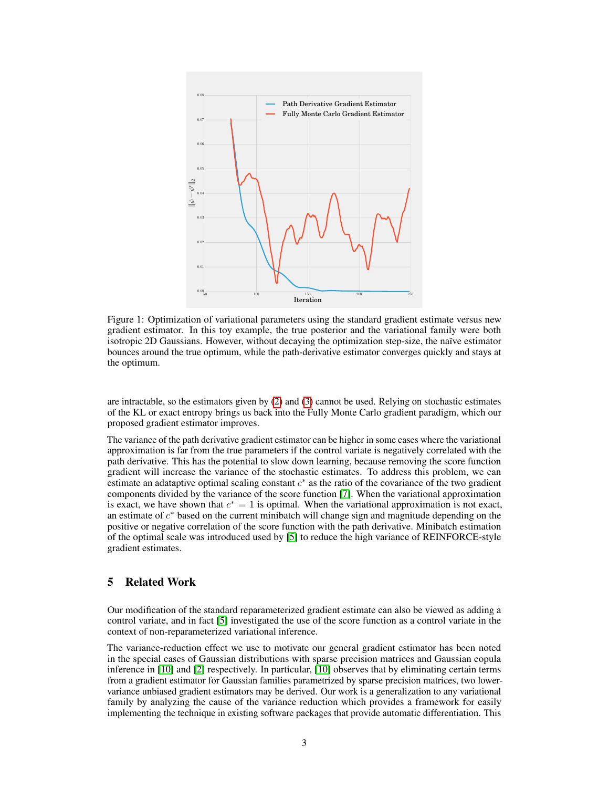<span id="page-2-0"></span>

Figure 1: Optimization of variational parameters using the standard gradient estimate versus new gradient estimator. In this toy example, the true posterior and the variational family were both isotropic 2D Gaussians. However, without decaying the optimization step-size, the naïve estimator bounces around the true optimum, while the path-derivative estimator converges quickly and stays at the optimum.

are intractable, so the estimators given by [\(2\)](#page-0-1) and [\(3\)](#page-0-2) cannot be used. Relying on stochastic estimates of the KL or exact entropy brings us back into the Fully Monte Carlo gradient paradigm, which our proposed gradient estimator improves.

The variance of the path derivative gradient estimator can be higher in some cases where the variational approximation is far from the true parameters if the control variate is negatively correlated with the path derivative. This has the potential to slow down learning, because removing the score function gradient will increase the variance of the stochastic estimates. To address this problem, we can estimate an adataptive optimal scaling constant  $c^*$  as the ratio of the covariance of the two gradient components divided by the variance of the score function [\[7\]](#page-4-3). When the variational approximation is exact, we have shown that  $c^* = 1$  is optimal. When the variational approximation is not exact, an estimate of  $c^*$  based on the current minibatch will change sign and magnitude depending on the positive or negative correlation of the score function with the path derivative. Minibatch estimation of the optimal scale was introduced used by [\[5\]](#page-4-4) to reduce the high variance of REINFORCE-style gradient estimates.

# 5 Related Work

Our modification of the standard reparameterized gradient estimate can also be viewed as adding a control variate, and in fact [\[5\]](#page-4-4) investigated the use of the score function as a control variate in the context of non-reparameterized variational inference.

The variance-reduction effect we use to motivate our general gradient estimator has been noted in the special cases of Gaussian distributions with sparse precision matrices and Gaussian copula inference in [\[10\]](#page-4-5) and [\[2\]](#page-3-0) respectively. In particular, [\[10\]](#page-4-5) observes that by eliminating certain terms from a gradient estimator for Gaussian families parametrized by sparse precision matrices, two lowervariance unbiased gradient estimators may be derived. Our work is a generalization to any variational family by analyzing the cause of the variance reduction which provides a framework for easily implementing the technique in existing software packages that provide automatic differentiation. This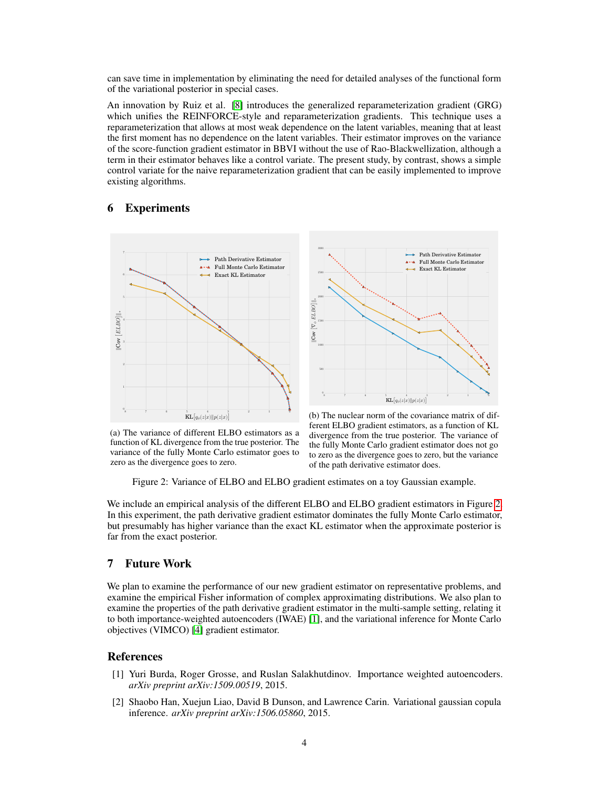can save time in implementation by eliminating the need for detailed analyses of the functional form of the variational posterior in special cases.

An innovation by Ruiz et al. [\[8\]](#page-4-6) introduces the generalized reparameterization gradient (GRG) which unifies the REINFORCE-style and reparameterization gradients. This technique uses a reparameterization that allows at most weak dependence on the latent variables, meaning that at least the first moment has no dependence on the latent variables. Their estimator improves on the variance of the score-function gradient estimator in BBVI without the use of Rao-Blackwellization, although a term in their estimator behaves like a control variate. The present study, by contrast, shows a simple control variate for the naive reparameterization gradient that can be easily implemented to improve existing algorithms.

# 6 Experiments

<span id="page-3-1"></span>

8 7 6  $\frac{1}{6}$   $\frac{1}{2}$   $\left[ q_{\phi}(z|x) \| p(z|x) \right]$   $\frac{1}{2}$   $\frac{1}{2}$   $\frac{1}{2}$  $0$ 500 1000 1500 2000 2500 3000 kCov مٌا )<br><sub>k</sub><br>ELBO<br>| Path Derivative Estimator **Full Monte Carlo Estimato**  $\triangleleft$  Exact KL Estimator

(a) The variance of different ELBO estimators as a function of KL divergence from the true posterior. The variance of the fully Monte Carlo estimator goes to zero as the divergence goes to zero.

(b) The nuclear norm of the covariance matrix of different ELBO gradient estimators, as a function of KL divergence from the true posterior. The variance of the fully Monte Carlo gradient estimator does not go to zero as the divergence goes to zero, but the variance of the path derivative estimator does.

Figure 2: Variance of ELBO and ELBO gradient estimates on a toy Gaussian example.

We include an empirical analysis of the different ELBO and ELBO gradient estimators in Figure [2.](#page-3-1) In this experiment, the path derivative gradient estimator dominates the fully Monte Carlo estimator, but presumably has higher variance than the exact KL estimator when the approximate posterior is far from the exact posterior.

# 7 Future Work

We plan to examine the performance of our new gradient estimator on representative problems, and examine the empirical Fisher information of complex approximating distributions. We also plan to examine the properties of the path derivative gradient estimator in the multi-sample setting, relating it to both importance-weighted autoencoders (IWAE) [\[1\]](#page-3-2), and the variational inference for Monte Carlo objectives (VIMCO) [\[4\]](#page-4-7) gradient estimator.

## **References**

- <span id="page-3-2"></span>[1] Yuri Burda, Roger Grosse, and Ruslan Salakhutdinov. Importance weighted autoencoders. *arXiv preprint arXiv:1509.00519*, 2015.
- <span id="page-3-0"></span>[2] Shaobo Han, Xuejun Liao, David B Dunson, and Lawrence Carin. Variational gaussian copula inference. *arXiv preprint arXiv:1506.05860*, 2015.